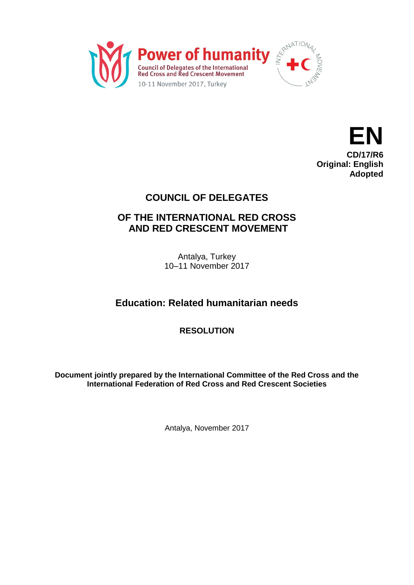



# **COUNCIL OF DELEGATES**

### **OF THE INTERNATIONAL RED CROSS AND RED CRESCENT MOVEMENT**

Antalya, Turkey 10–11 November 2017

# **Education: Related humanitarian needs**

**RESOLUTION**

**Document jointly prepared by the International Committee of the Red Cross and the International Federation of Red Cross and Red Crescent Societies**

Antalya, November 2017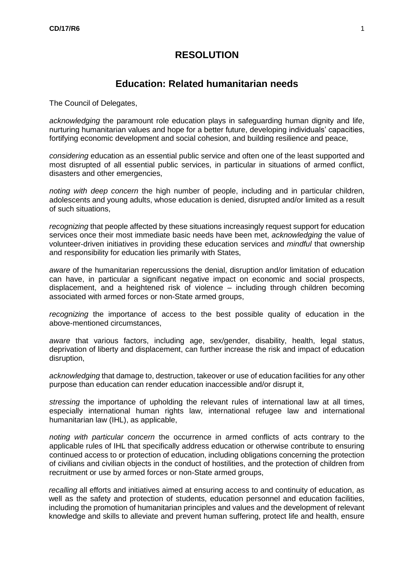#### **RESOLUTION**

#### **Education: Related humanitarian needs**

The Council of Delegates,

*acknowledging* the paramount role education plays in safeguarding human dignity and life, nurturing humanitarian values and hope for a better future, developing individuals' capacities, fortifying economic development and social cohesion, and building resilience and peace,

*considering* education as an essential public service and often one of the least supported and most disrupted of all essential public services, in particular in situations of armed conflict, disasters and other emergencies,

*noting with deep concern* the high number of people, including and in particular children, adolescents and young adults, whose education is denied, disrupted and/or limited as a result of such situations,

*recognizing* that people affected by these situations increasingly request support for education services once their most immediate basic needs have been met, *acknowledging* the value of volunteer-driven initiatives in providing these education services and *mindful* that ownership and responsibility for education lies primarily with States,

*aware* of the humanitarian repercussions the denial, disruption and/or limitation of education can have, in particular a significant negative impact on economic and social prospects, displacement, and a heightened risk of violence – including through children becoming associated with armed forces or non-State armed groups,

*recognizing* the importance of access to the best possible quality of education in the above-mentioned circumstances,

*aware* that various factors, including age, sex/gender, disability, health, legal status, deprivation of liberty and displacement, can further increase the risk and impact of education disruption,

*acknowledging* that damage to, destruction, takeover or use of education facilities for any other purpose than education can render education inaccessible and/or disrupt it,

*stressing* the importance of upholding the relevant rules of international law at all times, especially international human rights law, international refugee law and international humanitarian law (IHL), as applicable,

*noting with particular concern* the occurrence in armed conflicts of acts contrary to the applicable rules of IHL that specifically address education or otherwise contribute to ensuring continued access to or protection of education, including obligations concerning the protection of civilians and civilian objects in the conduct of hostilities, and the protection of children from recruitment or use by armed forces or non-State armed groups,

*recalling* all efforts and initiatives aimed at ensuring access to and continuity of education, as well as the safety and protection of students, education personnel and education facilities, including the promotion of humanitarian principles and values and the development of relevant knowledge and skills to alleviate and prevent human suffering, protect life and health, ensure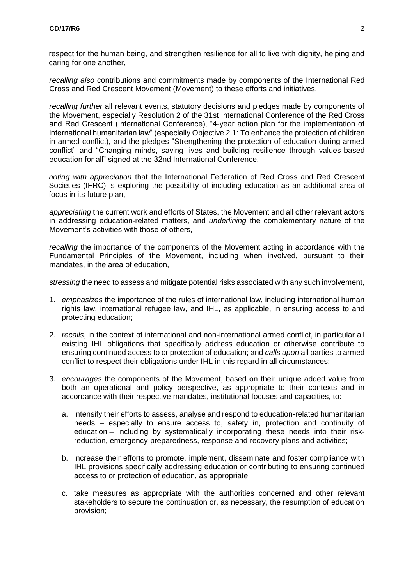respect for the human being, and strengthen resilience for all to live with dignity, helping and caring for one another,

*recalling also* contributions and commitments made by components of the International Red Cross and Red Crescent Movement (Movement) to these efforts and initiatives,

*recalling further* all relevant events, statutory decisions and pledges made by components of the Movement, especially Resolution 2 of the 31st International Conference of the Red Cross and Red Crescent (International Conference), "4-year action plan for the implementation of international humanitarian law" (especially Objective 2.1: To enhance the protection of children in armed conflict), and the pledges "Strengthening the protection of education during armed conflict" and "Changing minds, saving lives and building resilience through values-based education for all" signed at the 32nd International Conference,

*noting with appreciation* that the International Federation of Red Cross and Red Crescent Societies (IFRC) is exploring the possibility of including education as an additional area of focus in its future plan,

*appreciating* the current work and efforts of States, the Movement and all other relevant actors in addressing education-related matters, and *underlining* the complementary nature of the Movement's activities with those of others,

*recalling* the importance of the components of the Movement acting in accordance with the Fundamental Principles of the Movement, including when involved, pursuant to their mandates, in the area of education,

*stressing* the need to assess and mitigate potential risks associated with any such involvement,

- 1. *emphasizes* the importance of the rules of international law, including international human rights law, international refugee law, and IHL, as applicable, in ensuring access to and protecting education;
- 2. *recalls*, in the context of international and non-international armed conflict, in particular all existing IHL obligations that specifically address education or otherwise contribute to ensuring continued access to or protection of education; and *calls upon* all parties to armed conflict to respect their obligations under IHL in this regard in all circumstances;
- 3. *encourages* the components of the Movement, based on their unique added value from both an operational and policy perspective, as appropriate to their contexts and in accordance with their respective mandates, institutional focuses and capacities, to:
	- a. intensify their efforts to assess, analyse and respond to education-related humanitarian needs – especially to ensure access to, safety in, protection and continuity of education – including by systematically incorporating these needs into their riskreduction, emergency-preparedness, response and recovery plans and activities;
	- b. increase their efforts to promote, implement, disseminate and foster compliance with IHL provisions specifically addressing education or contributing to ensuring continued access to or protection of education, as appropriate;
	- c. take measures as appropriate with the authorities concerned and other relevant stakeholders to secure the continuation or, as necessary, the resumption of education provision;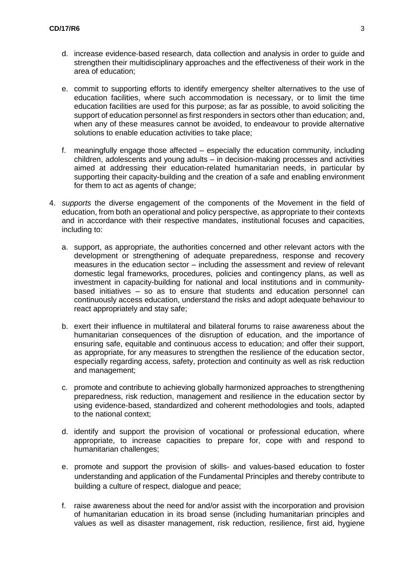- d. increase evidence-based research, data collection and analysis in order to guide and strengthen their multidisciplinary approaches and the effectiveness of their work in the area of education;
- e. commit to supporting efforts to identify emergency shelter alternatives to the use of education facilities, where such accommodation is necessary, or to limit the time education facilities are used for this purpose; as far as possible, to avoid soliciting the support of education personnel as first responders in sectors other than education; and, when any of these measures cannot be avoided, to endeavour to provide alternative solutions to enable education activities to take place;
- f. meaningfully engage those affected especially the education community, including children, adolescents and young adults – in decision-making processes and activities aimed at addressing their education-related humanitarian needs, in particular by supporting their capacity-building and the creation of a safe and enabling environment for them to act as agents of change;
- 4. *supports* the diverse engagement of the components of the Movement in the field of education, from both an operational and policy perspective, as appropriate to their contexts and in accordance with their respective mandates, institutional focuses and capacities, including to:
	- a. support, as appropriate, the authorities concerned and other relevant actors with the development or strengthening of adequate preparedness, response and recovery measures in the education sector – including the assessment and review of relevant domestic legal frameworks, procedures, policies and contingency plans, as well as investment in capacity-building for national and local institutions and in communitybased initiatives – so as to ensure that students and education personnel can continuously access education, understand the risks and adopt adequate behaviour to react appropriately and stay safe;
	- b. exert their influence in multilateral and bilateral forums to raise awareness about the humanitarian consequences of the disruption of education, and the importance of ensuring safe, equitable and continuous access to education; and offer their support, as appropriate, for any measures to strengthen the resilience of the education sector, especially regarding access, safety, protection and continuity as well as risk reduction and management;
	- c. promote and contribute to achieving globally harmonized approaches to strengthening preparedness, risk reduction, management and resilience in the education sector by using evidence-based, standardized and coherent methodologies and tools, adapted to the national context;
	- d. identify and support the provision of vocational or professional education, where appropriate, to increase capacities to prepare for, cope with and respond to humanitarian challenges;
	- e. promote and support the provision of skills- and values-based education to foster understanding and application of the Fundamental Principles and thereby contribute to building a culture of respect, dialogue and peace;
	- f. raise awareness about the need for and/or assist with the incorporation and provision of humanitarian education in its broad sense (including humanitarian principles and values as well as disaster management, risk reduction, resilience, first aid, hygiene